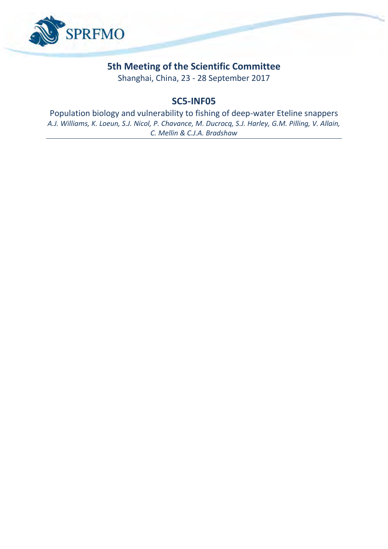

# **5th Meeting of the Scientific Committee**

Shanghai, China, 23 - 28 September 2017

# **SC5-INF05**

Population biology and vulnerability to fishing of deep-water Eteline snappers *A.J. Williams, K. Loeun, S.J. Nicol, P. Chavance, M. Ducrocq, S.J. Harley, G.M. Pilling, V. Allain, C. Mellin & C.J.A. Bradshaw*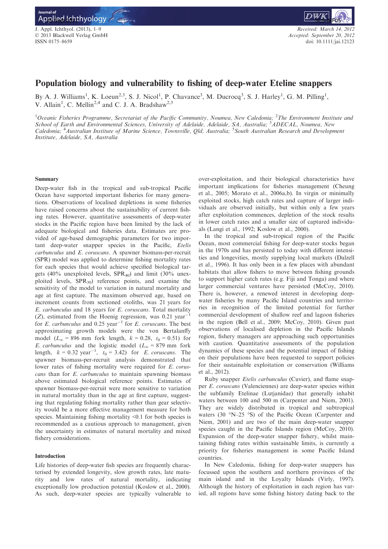J. Appl. Ichthyol. (2013), 1–9 © 2013 Blackwell Verlag GmbH ISSN 0175–8659



# Population biology and vulnerability to fishing of deep-water Eteline snappers

By A. J. Williams<sup>1</sup>, K. Loeun<sup>2,3</sup>, S. J. Nicol<sup>1</sup>, P. Chavance<sup>3</sup>, M. Ducrocq<sup>3</sup>, S. J. Harley<sup>1</sup>, G. M. Pilling<sup>1</sup>, V. Allain<sup>1</sup>, C. Mellin<sup>2,4</sup> and C. J. A. Bradshaw<sup>2,5</sup>

 $^1$ Oceanic Fisheries Programme, Secretariat of the Pacific Community, Noumea, New Caledonia; <sup>2</sup>The Environment Institute and School of Earth and Environmental Sciences, University of Adelaide, Adelaide, SA, Australia; <sup>3</sup>ADECAL, Noumea, New Caledonia; <sup>4</sup> Australian Institute of Marine Science, Townsville, Qld, Australia; <sup>5</sup> South Australian Research and Development Institute, Adelaide, SA, Australia

# Summary

Deep-water fish in the tropical and sub-tropical Pacific Ocean have supported important fisheries for many generations. Observations of localised depletions in some fisheries have raised concerns about the sustainability of current fishing rates. However, quantitative assessments of deep-water stocks in the Pacific region have been limited by the lack of adequate biological and fisheries data. Estimates are provided of age-based demographic parameters for two important deep-water snapper species in the Pacific, Etelis carbunculus and E. coruscans. A spawner biomass-per-recruit (SPR) model was applied to determine fishing mortality rates for each species that would achieve specified biological targets (40% unexploited levels,  $SPR_{40}$ ) and limit (30% unexploited levels,  $SPR_{30}$  reference points, and examine the sensitivity of the model to variation in natural mortality and age at first capture. The maximum observed age, based on increment counts from sectioned otoliths, was 21 years for E. carbunculus and 18 years for E. coruscans. Total mortality (Z), estimated from the Hoenig regression, was  $0.21 \text{ year}^{-1}$ for E. carbunculus and 0.25 year<sup>-1</sup> for E. coruscans. The best approximating growth models were the von Bertalanffy model ( $L_{\infty}$  = 896 mm fork length,  $k = 0.28$ ,  $t_0 = 0.51$ ) for E. carbunculus and the logistic model ( $L_{\infty}$  = 879 mm fork length,  $k = 0.32 \text{ year}^{-1}$ ,  $t_0 = 3.42$ ) for *E. coruscans*. The spawner biomass-per-recruit analysis demonstrated that lower rates of fishing mortality were required for E. coruscans than for E. carbunculus to maintain spawning biomass above estimated biological reference points. Estimates of spawner biomass-per-recruit were more sensitive to variation in natural mortality than in the age at first capture, suggesting that regulating fishing mortality rather than gear selectivity would be a more effective management measure for both species. Maintaining fishing mortality <0.1 for both species is recommended as a cautious approach to management, given the uncertainty in estimates of natural mortality and mixed fishery considerations.

# Introduction

Life histories of deep-water fish species are frequently characterised by extended longevity, slow growth rates, late maturity and low rates of natural mortality, indicating exceptionally low production potential (Koslow et al., 2000). As such, deep-water species are typically vulnerable to

over-exploitation, and their biological characteristics have important implications for fisheries management (Cheung et al., 2005; Morato et al., 2006a,b). In virgin or minimally exploited stocks, high catch rates and capture of larger individuals are observed initially, but within only a few years after exploitation commences, depletion of the stock results in lower catch rates and a smaller size of captured individuals (Langi et al., 1992; Koslow et al., 2000).

In the tropical and sub-tropical region of the Pacific Ocean, most commercial fishing for deep-water stocks began in the 1970s and has persisted to today with different intensities and longevities, mostly supplying local markets (Dalzell et al., 1996). It has only been in a few places with abundant habitats that allow fishers to move between fishing grounds to support higher catch rates (e.g. Fiji and Tonga) and where larger commercial ventures have persisted (McCoy, 2010). There is, however, a renewed interest in developing deepwater fisheries by many Pacific Island countries and territories in recognition of the limited potential for further commercial development of shallow reef and lagoon fisheries in the region (Bell et al., 2009; McCoy, 2010). Given past observations of localised depletion in the Pacific Islands region, fishery managers are approaching such opportunities with caution. Quantitative assessments of the population dynamics of these species and the potential impact of fishing on their populations have been requested to support policies for their sustainable exploitation or conservation (Williams et al., 2012).

Ruby snapper Etelis carbunculus (Cuvier), and flame snapper E. coruscans (Valenciennes) are deep-water species within the subfamily Etelinae (Lutjanidae) that generally inhabit waters between 100 and 500 m (Carpenter and Niem, 2001). They are widely distributed in tropical and subtropical waters (30 °N–25 °S) of the Pacific Ocean (Carpenter and Niem, 2001) and are two of the main deep-water snapper species caught in the Pacific Islands region (McCoy, 2010). Expansion of the deep-water snapper fishery, whilst maintaining fishing rates within sustainable limits, is currently a priority for fisheries management in some Pacific Island countries.

In New Caledonia, fishing for deep-water snappers has focussed upon the southern and northern provinces of the main island and in the Loyalty Islands (Virly, 1997). Although the history of exploitation in each region has varied, all regions have some fishing history dating back to the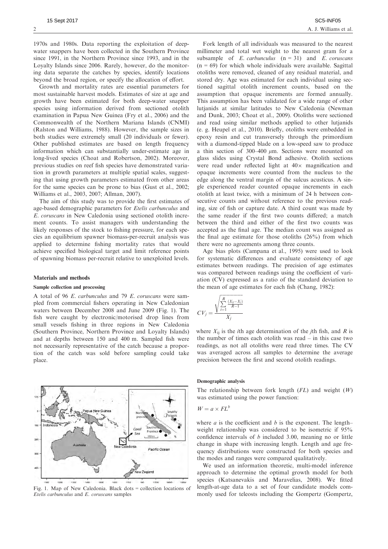1970s and 1980s. Data reporting the exploitation of deepwater snappers have been collected in the Southern Province since 1991, in the Northern Province since 1993, and in the Loyalty Islands since 2006. Rarely, however, do the monitoring data separate the catches by species, identify locations beyond the broad region, or specify the allocation of effort.

Growth and mortality rates are essential parameters for most sustainable harvest models. Estimates of size at age and growth have been estimated for both deep-water snapper species using information derived from sectioned otolith examination in Papua New Guinea (Fry et al., 2006) and the Commonwealth of the Northern Mariana Islands (CNMI) (Ralston and Williams, 1988). However, the sample sizes in both studies were extremely small (20 individuals or fewer). Other published estimates are based on length frequency information which can substantially under-estimate age in long-lived species (Choat and Robertson, 2002). Moreover, previous studies on reef fish species have demonstrated variation in growth parameters at multiple spatial scales, suggesting that using growth parameters estimated from other areas for the same species can be prone to bias (Gust et al., 2002; Williams et al., 2003, 2007; Allman, 2007).

The aim of this study was to provide the first estimates of age-based demographic parameters for Etelis carbunculus and E. coruscans in New Caledonia using sectioned otolith increment counts. To assist managers with understanding the likely responses of the stock to fishing pressure, for each species an equilibrium spawner biomass-per-recruit analysis was applied to determine fishing mortality rates that would achieve specified biological target and limit reference points of spawning biomass per-recruit relative to unexploited levels.

#### Materials and methods

105 Indones

209

 $30<sub>5</sub>$ 

#### Sample collection and processing

A total of 96 E. carbunculus and 79 E. coruscans were sampled from commercial fishers operating in New Caledonian waters between December 2008 and June 2009 (Fig. 1). The fish were caught by electronic/motorised drop lines from small vessels fishing in three regions in New Caledonia (Southern Province, Northern Province and Loyalty Islands) and at depths between 150 and 400 m. Sampled fish were not necessarily representative of the catch because a proportion of the catch was sold before sampling could take place.



 $S$ 

 $200\,\mathrm{km}$ 

Pacific Ocean

Coral

Fork length of all individuals was measured to the nearest millimeter and total wet weight to the nearest gram for a subsample of  $E$ . carbunculus  $(n = 31)$  and  $E$ . coruscans  $(n = 69)$  for which whole individuals were available. Sagittal otoliths were removed, cleaned of any residual material, and stored dry. Age was estimated for each individual using sectioned sagittal otolith increment counts, based on the assumption that opaque increments are formed annually. This assumption has been validated for a wide range of other lutjanids at similar latitudes to New Caledonia (Newman and Dunk, 2003; Choat et al., 2009). Otoliths were sectioned and read using similar methods applied to other lutjanids (e. g. Heupel et al., 2010). Briefly, otoliths were embedded in epoxy resin and cut transversely through the primordium with a diamond-tipped blade on a low-speed saw to produce a thin section of  $300-400 \mu m$ . Sections were mounted on glass slides using Crystal Bond adhesive. Otolith sections were read under reflected light at  $40\times$  magnification and opaque increments were counted from the nucleus to the edge along the ventral margin of the sulcus acusticus. A single experienced reader counted opaque increments in each otolith at least twice, with a minimum of 24 h between consecutive counts and without reference to the previous reading, size of fish or capture date. A third count was made by the same reader if the first two counts differed; a match between the third and either of the first two counts was accepted as the final age. The median count was assigned as the final age estimate for those otoliths (26%) from which there were no agreements among three counts.

Age bias plots (Campana et al., 1995) were used to look for systematic differences and evaluate consistency of age estimates between readings. The precision of age estimates was compared between readings using the coefficient of variation (CV) expressed as a ratio of the standard deviation to the mean of age estimates for each fish (Chang, 1982):

$$
CV_j = \frac{\sqrt{\sum_{i=1}^{R} \frac{(X_{ij} - X_j)}{R-1}}}{X_j}
$$

where  $X_{ii}$  is the *i*th age determination of the *j*th fish, and *R* is the number of times each otolith was read – in this case two readings, as not all otoliths were read three times. The CV was averaged across all samples to determine the average precision between the first and second otolith readings.

# Demographic analysis

The relationship between fork length  $(FL)$  and weight  $(W)$ was estimated using the power function:

$$
W = a \times FL^b
$$

where  $a$  is the coefficient and  $b$  is the exponent. The length– weight relationship was considered to be isometric if 95% confidence intervals of b included 3.00, meaning no or little change in shape with increasing length. Length and age frequency distributions were constructed for both species and the modes and ranges were compared qualitatively.

We used an information theoretic, multi-model inference approach to determine the optimal growth model for both species (Katsanevakis and Maravelias, 2008). We fitted length-at-age data to a set of four candidate models commonly used for teleosts including the Gompertz (Gompertz,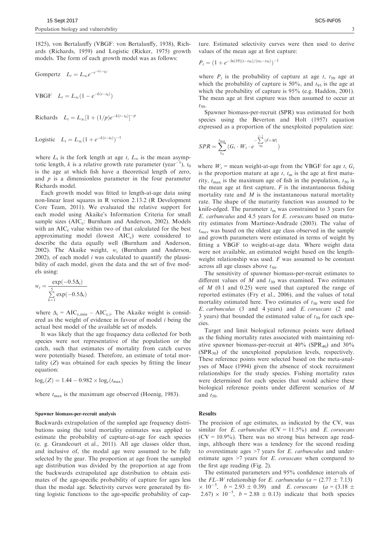1825), von Bertalanffy (VBGF: von Bertalanffy, 1938), Richards (Richards, 1959) and Logistic (Ricker, 1975) growth models. The form of each growth model was as follows:

Gompertz 
$$
L_t = L_\infty e^{-e^{-k(t-t_0)}}
$$

**VBGF**  $L_t = L_{\infty} (1 - e^{-k(t-t_0)})$ 

Richards 
$$
L_t = L_{\infty} [1 + (1/p)e^{-k(t-t_0)}]^{-p}
$$

Logistic  $L_t = L_{\infty} (1 + e^{-k(t-t_0)})^{-1}$ 

where  $L_t$  is the fork length at age t,  $L_\infty$  is the mean asymptotic length, k is a relative growth rate parameter (year<sup>-1</sup>  $^{1}$ ),  $t_{0}$ is the age at which fish have a theoretical length of zero, and  $p$  is a dimensionless parameter in the four parameter Richards model.

Each growth model was fitted to length-at-age data using non-linear least squares in R version 2.13.2 (R Development Core Team, 2011). We evaluated the relative support for each model using Akaike's Information Criteria for small sample sizes ( $AIC<sub>c</sub>$ : Burnham and Anderson, 2002). Models with an  $AIC<sub>c</sub>$  value within two of that calculated for the best approximating model (lowest  $AIC<sub>c</sub>$ ) were considered to describe the data equally well (Burnham and Anderson, 2002). The Akaike weight,  $w_i$  (Burnham and Anderson,  $2002$ ), of each model *i* was calculated to quantify the plausibility of each model, given the data and the set of five models using:

$$
w_i = \frac{\exp(-0.5\Delta_i)}{\sum_{k=1}^{5} \exp(-0.5\Delta_i)}
$$

where  $\Delta_i$  = AIC<sub>c,min</sub> – AIC<sub>c,i</sub>. The Akaike weight is considered as the weight of evidence in favour of model i being the actual best model of the available set of models.

It was likely that the age frequency data collected for both species were not representative of the population or the catch, such that estimates of mortality from catch curves were potentially biased. Therefore, an estimate of total mortality  $(Z)$  was obtained for each species by fitting the linear equation:

 $log_e(Z) = 1.44 - 0.982 \times log_e(t_{\text{max}})$ 

where  $t_{\text{max}}$  is the maximum age observed (Hoenig, 1983).

#### Spawner biomass-per-recruit analysis

Backwards extrapolation of the sampled age frequency distributions using the total mortality estimates was applied to estimate the probability of capture-at-age for each species (e. g. Grandcourt et al., 2011). All age classes older than, and inclusive of, the modal age were assumed to be fully selected by the gear. The proportion at age from the sampled age distribution was divided by the proportion at age from the backwards extrapolated age distribution to obtain estimates of the age-specific probability of capture for ages less than the modal age. Selectivity curves were generated by fitting logistic functions to the age-specific probability of capture. Estimated selectivity curves were then used to derive values of the mean age at first capture:

$$
P_t = (1 + e^{-\ln(19)(t - t_{50})/(t_{95} - t_{50})})^{-1}
$$

where  $P_t$  is the probability of capture at age t,  $t_{50}$  age at which the probability of capture is 50%, and  $t_{95}$  is the age at which the probability of capture is 95% (e.g. Haddon, 2001). The mean age at first capture was then assumed to occur at  $t_{50}$ 

Spawner biomass-per-recruit (SPR) was estimated for both species using the Beverton and Holt (1957) equation expressed as a proportion of the unexploited population size:

$$
SPR = \sum_{t_m}^{t_{\text{max}}} (G_t \cdot W_t \cdot e^{-\sum_{t_{50}}^{t-1} (F + M)})
$$

where  $W_t$  = mean weight-at-age from the VBGF for age t,  $G_t$ is the proportion mature at age  $t$ ,  $t<sub>m</sub>$  is the age at first maturity,  $t_{\text{max}}$  is the maximum age of fish in the population,  $t_{50}$  is the mean age at first capture,  $F$  is the instantaneous fishing mortality rate and  $M$  is the instantaneous natural mortality rate. The shape of the maturity function was assumed to be knife-edged. The parameter  $t<sub>m</sub>$  was constrained to 3 years for E. carbunculus and 4.5 years for E. coruscans based on maturity estimates from Martinez-Andrade (2003). The value of  $t_{max}$  was based on the oldest age class observed in the sample and growth parameters were estimated in terms of weight by fitting a VBGF to weight-at-age data. Where weight data were not available, an estimated weight based on the lengthweight relationship was used.  $F$  was assumed to be constant across all age classes above  $t_{50}$ .

The sensitivity of spawner biomass-per-recruit estimates to different values of  $M$  and  $t_{50}$  was examined. Two estimates of  $M$  (0.1 and 0.25) were used that captured the range of reported estimates (Fry et al., 2006), and the values of total mortality estimated here. Two estimates of  $t_{50}$  were used for E. carbunculus (3 and 4 years) and E. coruscans (2 and 3 years) that bounded the estimated value of  $t_{50}$  for each species.

Target and limit biological reference points were defined as the fishing mortality rates associated with maintaining relative spawner biomass-per-recruit at  $40\%$  (SPR<sub>40</sub>) and  $30\%$ (SPR30) of the unexploited population levels, respectively. These reference points were selected based on the meta-analyses of Mace (1994) given the absence of stock recruitment relationships for the study species. Fishing mortality rates were determined for each species that would achieve these biological reference points under different scenarios of M and  $t_{50}$ .

# **Results**

The precision of age estimates, as indicated by the CV, was similar for E. carbunculus  $(CV = 11.5\%)$  and E. coruscans  $(CV = 10.9\%)$ . There was no strong bias between age readings, although there was a tendency for the second reading to overestimate ages  $>7$  years for E. carbunculus and underestimate ages  $>7$  years for E. coruscans when compared to the first age reading (Fig. 2).

The estimated parameters and 95% confidence intervals of the FL–W relationship for E. carbunculus ( $a = (2.77 \pm 7.13)$ )  $\times$  10<sup>-5</sup>,  $b = 2.93 \pm 0.39$ ) and *E. coruscans* (a = (3.18  $\pm$ <br>2.67)  $\times$  10<sup>-5</sup>,  $b = 2.88 \pm 0.13$ ) indicate that both species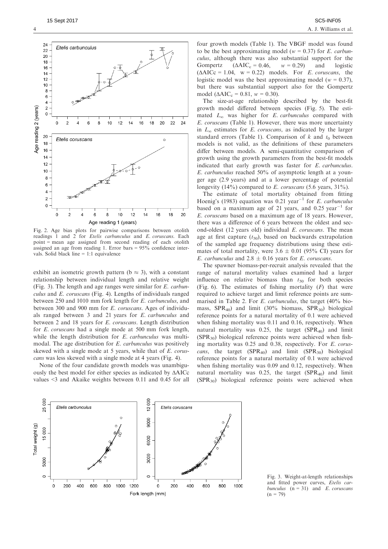

Fig. 2. Age bias plots for pairwise comparisons between otolith readings 1 and 2 for *Etelis carbunculus* and *E. coruscans*. Each point = mean age assigned from second reading of each otolith assigned an age from reading 1. Error bars = 95% confidence intervals. Solid black line = 1:1 equivalence

exhibit an isometric growth pattern ( $b \approx 3$ ), with a constant relationship between individual length and relative weight (Fig. 3). The length and age ranges were similar for E. carbunculus and E. coruscans (Fig. 4). Lengths of individuals ranged between 250 and 1010 mm fork length for E. carbunculus, and between 300 and 900 mm for E. coruscans. Ages of individuals ranged between 3 and 21 years for E. carbunculus and between 2 and 18 years for E. coruscans. Length distribution for E. coruscans had a single mode at 500 mm fork length, while the length distribution for E. carbunculus was multimodal. The age distribution for E. carbunculus was positively skewed with a single mode at 5 years, while that of E. coruscans was less skewed with a single mode at 4 years (Fig. 4).

None of the four candidate growth models was unambiguously the best model for either species as indicated by ΔAICc values <3 and Akaike weights between 0.11 and 0.45 for all four growth models (Table 1). The VBGF model was found to be the best approximating model ( $w = 0.37$ ) for E. carbunculus, although there was also substantial support for the Gompertz  $(\Delta AIC_c = 0.46, w = 0.29)$  and logistic  $(\Delta AICc = 1.04, w = 0.22)$  models. For *E. coruscans*, the logistic model was the best approximating model ( $w = 0.37$ ), but there was substantial support also for the Gompertz model ( $\triangle AIC_c = 0.81$ ,  $w = 0.30$ ).

The size-at-age relationship described by the best-fit growth model differed between species (Fig. 5). The estimated  $L_{\infty}$  was higher for *E. carbunculus* compared with E. coruscans (Table 1). However, there was more uncertainty in  $L_{\infty}$  estimates for E. coruscans, as indicated by the larger standard errors (Table 1). Comparison of  $k$  and  $t_0$  between models is not valid, as the definitions of these parameters differ between models. A semi-quantitative comparison of growth using the growth parameters from the best-fit models indicated that early growth was faster for E. carbunculus. E. carbunculus reached 50% of asymptotic length at a younger age (2.9 years) and at a lower percentage of potential longevity (14%) compared to E. coruscans (5.6 years,  $31\%$ ).

The estimate of total mortality obtained from fitting Hoenig's (1983) equation was 0.21 year<sup>-1</sup> for E. carbunculus based on a maximum age of 21 years, and  $0.25$  year<sup>-1</sup> for E. coruscans based on a maximum age of 18 years. However, there was a difference of 6 years between the oldest and second-oldest (12 years old) individual E. coruscans. The mean age at first capture  $(t_{50})$ , based on backwards extrapolation of the sampled age frequency distributions using these estimates of total mortality, were  $3.6 \pm 0.01$  (95% CI) years for *E. carbunculus* and  $2.8 \pm 0.16$  years for *E. coruscans.* 

The spawner biomass-per-recruit analysis revealed that the range of natural mortality values examined had a larger influence on relative biomass than  $t_{50}$  for both species (Fig. 6). The estimates of fishing mortality  $(F)$  that were required to achieve target and limit reference points are summarised in Table 2. For E. carbunculus, the target (40% biomass,  $SPR_{40}$  and limit (30% biomass,  $SPR_{30}$ ) biological reference points for a natural mortality of 0.1 were achieved when fishing mortality was 0.11 and 0.16, respectively. When natural mortality was  $0.25$ , the target (SPR<sub>40</sub>) and limit  $(SPR<sub>30</sub>)$  biological reference points were achieved when fishing mortality was 0.25 and 0.38, respectively. For E. coruscans, the target  $(SPR_{40})$  and limit  $(SPR_{30})$  biological reference points for a natural mortality of 0.1 were achieved when fishing mortality was 0.09 and 0.12, respectively. When natural mortality was  $0.25$ , the target (SPR<sub>40</sub>) and limit  $(SPR<sub>30</sub>)$  biological reference points were achieved when



Fig. 3. Weight-at-length relationships and fitted power curves, Etelis carbunculus  $(n = 31)$  and *E. coruscans*  $(n = 79)$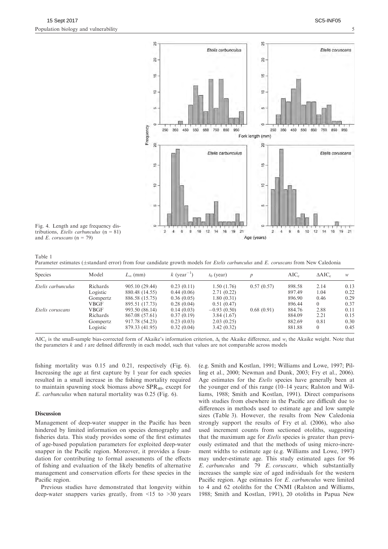

Fig. 4. Length and age frequency distributions, Etelis carbunculus  $(n = 81)$ and E. coruscans  $(n = 79)$ 

Table 1 Parameter estimates ( $\pm$ standard error) from four candidate growth models for Etelis carbunculus and E. coruscans from New Caledonia

| Species            | Model    | $L_{\infty}$ (mm) | k (year <sup>-1</sup> ) | $t_0$ (year)  |            | $AIC_c$ | $\triangle AIC_c$ | w    |
|--------------------|----------|-------------------|-------------------------|---------------|------------|---------|-------------------|------|
| Etelis carbunculus | Richards | 905.10 (29.44)    | 0.23(0.11)              | 1.50(1.76)    | 0.57(0.57) | 898.58  | 2.14              | 0.13 |
|                    | Logistic | 880.48 (14.55)    | 0.44(0.06)              | 2.71(0.22)    |            | 897.49  | 1.04              | 0.22 |
|                    | Gompertz | 886.58 (15.75)    | 0.36(0.05)              | 1.80(0.31)    |            | 896.90  | 0.46              | 0.29 |
|                    | VBGF     | 895.51 (17.73)    | 0.28(0.04)              | 0.51(0.47)    |            | 896.44  | $\theta$          | 0.37 |
| Etelis coruscans   | VBGF     | 993.50 (86.14)    | 0.14(0.03)              | $-0.93(0.50)$ | 0.68(0.91) | 884.76  | 2.88              | 0.11 |
|                    | Richards | 867.08 (57.61)    | 0.37(0.19)              | 3.84(1.67)    |            | 884.09  | 2.21              | 0.15 |
|                    | Gompertz | 917.78 (54.23)    | 0.23(0.03)              | 2.03(0.25)    |            | 882.69  | 0.81              | 0.30 |
|                    | Logistic | 879.33 (41.95)    | 0.32(0.04)              | 3.42(0.32)    |            | 881.88  | $\overline{0}$    | 0.45 |

AIC<sub>c</sub> is the small-sample bias-corrected form of Akaike's information criterion,  $\Delta_i$  the Akaike difference, and  $w_i$  the Akaike weight. Note that the parameters k and t are defined differently in each model, such that values are not comparable across models

fishing mortality was 0.15 and 0.21, respectively (Fig. 6). Increasing the age at first capture by 1 year for each species resulted in a small increase in the fishing mortality required to maintain spawning stock biomass above  $SPR<sub>40</sub>$ , except for E. carbunculus when natural mortality was 0.25 (Fig. 6).

# Discussion

Management of deep-water snapper in the Pacific has been hindered by limited information on species demography and fisheries data. This study provides some of the first estimates of age-based population parameters for exploited deep-water snapper in the Pacific region. Moreover, it provides a foundation for contributing to formal assessments of the effects of fishing and evaluation of the likely benefits of alternative management and conservation efforts for these species in the Pacific region.

Previous studies have demonstrated that longevity within deep-water snappers varies greatly, from <15 to >30 years

(e.g. Smith and Kostlan, 1991; Williams and Lowe, 1997; Pilling et al., 2000; Newman and Dunk, 2003; Fry et al., 2006). Age estimates for the *Etelis* species have generally been at the younger end of this range (10–14 years; Ralston and Williams, 1988; Smith and Kostlan, 1991). Direct comparisons with studies from elsewhere in the Pacific are difficult due to differences in methods used to estimate age and low sample sizes (Table 3). However, the results from New Caledonia strongly support the results of Fry et al. (2006), who also used increment counts from sectioned otoliths, suggesting that the maximum age for *Etelis* species is greater than previously estimated and that the methods of using micro-increment widths to estimate age (e.g. Williams and Lowe, 1997) may under-estimate age. This study estimated ages for 96 E. carbunculus and 79 E. coruscans, which substantially increases the sample size of aged individuals for the western Pacific region. Age estimates for E. carbunculus were limited to 4 and 62 otoliths for the CNMI (Ralston and Williams, 1988; Smith and Kostlan, 1991), 20 otoliths in Papua New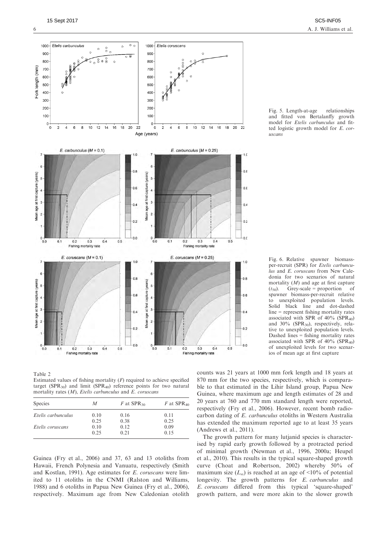

Fig. 5. Length-at-age relationships and fitted von Bertalanffy growth model for Etelis carbunculus and fitted logistic growth model for E. coruscans

Fig. 6. Relative spawner biomassper-recruit (SPR) for Etelis carbunculus and E. coruscans from New Caledonia for two scenarios of natural mortality  $(M)$  and age at first capture  $(t_{50})$ . Grey-scale = proportion of spawner biomass-per-recruit relative to unexploited population levels. Solid black line and dot-dashed line = represent fishing mortality rates associated with SPR of  $40\%$  (SPR<sub>40</sub>) and 30% (SPR<sub>30</sub>), respectively, relative to unexploited population levels. Dashed lines = fishing mortality rates associated with SPR of  $40\%$  (SPR<sub>40</sub>) of unexploited levels for two scenarios of mean age at first capture

Table 2 Estimated values of fishing mortality  $(F)$  required to achieve specified target (SPR<sub>30</sub>) and limit (SPR<sub>40</sub>) reference points for two natural mortality rates  $(M)$ , Etelis carbunculus and E. coruscans

| <b>Species</b>     | M            | F at $SPR_{30}$ | F at $SPR_{40}$ |  |
|--------------------|--------------|-----------------|-----------------|--|
| Etelis carbunculus | 0.10<br>0.16 |                 | 0.11            |  |
|                    | 0.25         | 0.38            | 0.25            |  |
| Etelis coruscans   | 0.10         | 0.12            | 0.09            |  |
|                    | 0.25         | 0.21            | 0.15            |  |

Guinea (Fry et al., 2006) and 37, 63 and 13 otoliths from Hawaii, French Polynesia and Vanuatu, respectively (Smith and Kostlan, 1991). Age estimates for E. coruscans were limited to 11 otoliths in the CNMI (Ralston and Williams, 1988) and 6 otoliths in Papua New Guinea (Fry et al., 2006), respectively. Maximum age from New Caledonian otolith counts was 21 years at 1000 mm fork length and 18 years at 870 mm for the two species, respectively, which is comparable to that estimated in the Lihir Island group, Papua New Guinea, where maximum age and length estimates of 28 and 20 years at 760 and 770 mm standard length were reported, respectively (Fry et al., 2006). However, recent bomb radiocarbon dating of E. carbunculus otoliths in Western Australia has extended the maximum reported age to at least 35 years (Andrews et al., 2011).

The growth pattern for many lutjanid species is characterised by rapid early growth followed by a protracted period of minimal growth (Newman et al., 1996, 2000a; Heupel et al., 2010). This results in the typical square-shaped growth curve (Choat and Robertson, 2002) whereby 50% of maximum size  $(L_{\infty})$  is reached at an age of <10% of potential longevity. The growth patterns for E. carbunculus and E. coruscans differed from this typical 'square-shaped' growth pattern, and were more akin to the slower growth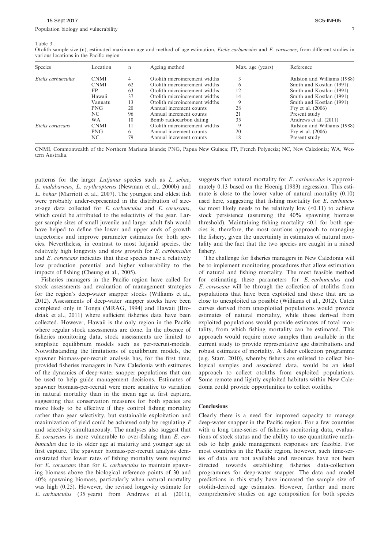#### Table 3

Otolith sample size (n), estimated maximum age and method of age estimation, *Etelis carbunculus* and  $E$ , *coruscans*, from different studies in various locations in the Pacific region

| Species            | Location    | n  | Ageing method                 | Max. age (years) | Reference                   |
|--------------------|-------------|----|-------------------------------|------------------|-----------------------------|
| Etelis carbunculus | <b>CNMI</b> | 4  | Otolith microincrement widths |                  | Ralston and Williams (1988) |
|                    | <b>CNMI</b> | 62 | Otolith microincrement widths |                  | Smith and Kostlan (1991)    |
|                    | FP.         | 63 | Otolith microincrement widths | 12               | Smith and Kostlan (1991)    |
|                    | Hawaii      | 37 | Otolith microincrement widths | 14               | Smith and Kostlan (1991)    |
|                    | Vanuatu     | 13 | Otolith microincrement widths |                  | Smith and Kostlan (1991)    |
|                    | <b>PNG</b>  | 20 | Annual increment counts       | 28               | Fry et al. (2006)           |
|                    | NC.         | 96 | Annual increment counts       | 21               | Present study               |
|                    | WA          | 10 | Bomb radiocarbon dating       | 35               | Andrews et al. (2011)       |
| Etelis coruscans   | <b>CNMI</b> | 11 | Otolith microincrement widths |                  | Ralston and Williams (1988) |
|                    | <b>PNG</b>  | 6  | Annual increment counts       | 20               | Fry et al. (2006)           |
|                    | NC          | 79 | Annual increment counts       | 18               | Present study               |

CNMI, Commonwealth of the Northern Mariana Islands; PNG, Papua New Guinea; FP, French Polynesia; NC, New Caledonia; WA, Western Australia.

patterns for the larger Lutjanus species such as L. sebae, L. malabaricus, L. erythropterus (Newman et al., 2000b) and L. bohar (Marriott et al., 2007). The youngest and oldest fish were probably under-represented in the distribution of sizeat-age data collected for E. carbunculus and E. coruscans, which could be attributed to the selectivity of the gear. Larger sample sizes of small juvenile and larger adult fish would have helped to define the lower and upper ends of growth trajectories and improve parameter estimates for both species. Nevertheless, in contrast to most lutjanid species, the relatively high longevity and slow growth for E. carbunculus and E. coruscans indicates that these species have a relatively low production potential and higher vulnerability to the impacts of fishing (Cheung et al., 2005).

Fisheries managers in the Pacific region have called for stock assessments and evaluation of management strategies for the region's deep-water snapper stocks (Williams et al., 2012). Assessments of deep-water snapper stocks have been completed only in Tonga (MRAG, 1994) and Hawaii (Brodziak et al., 2011) where sufficient fisheries data have been collected. However, Hawaii is the only region in the Pacific where regular stock assessments are done. In the absence of fisheries monitoring data, stock assessments are limited to simplistic equilibrium models such as per-recruit-models. Notwithstanding the limitations of equilibrium models, the spawner biomass-per-recruit analysis has, for the first time, provided fisheries managers in New Caledonia with estimates of the dynamics of deep-water snapper populations that can be used to help guide management decisions. Estimates of spawner biomass-per-recruit were more sensitive to variation in natural mortality than in the mean age at first capture, suggesting that conservation measures for both species are more likely to be effective if they control fishing mortality rather than gear selectivity, but sustainable exploitation and maximization of yield could be achieved only by regulating F and selectivity simultaneously. The analyses also suggest that E. coruscans is more vulnerable to over-fishing than E. carbunculus due to its older age at maturity and younger age at first capture. The spawner biomass-per-recruit analysis demonstrated that lower rates of fishing mortality were required for E. coruscans than for E. carbunculus to maintain spawning biomass above the biological reference points of 30 and 40% spawning biomass, particularly when natural mortality was high (0.25). However, the revised longevity estimate for E. carbunculus (35 years) from Andrews et al. (2011),

suggests that natural mortality for E. carbunculus is approximately 0.13 based on the Hoenig (1983) regression. This estimate is close to the lower value of natural mortality (0.10) used here, suggesting that fishing mortality for E. carbunculus most likely needs to be relatively low  $(0.11)$  to achieve stock persistence (assuming the 40% spawning biomass threshold). Maintaining fishing mortality <0.1 for both species is, therefore, the most cautious approach to managing the fishery, given the uncertainty in estimates of natural mortality and the fact that the two species are caught in a mixed fishery.

The challenge for fisheries managers in New Caledonia will be to implement monitoring procedures that allow estimation of natural and fishing mortality. The most feasible method for estimating these parameters for E. carbunculus and E. coruscans will be through the collection of otoliths from populations that have been exploited and those that are as close to unexploited as possible (Williams et al., 2012). Catch curves derived from unexploited populations would provide estimates of natural mortality, while those derived from exploited populations would provide estimates of total mortality, from which fishing mortality can be estimated. This approach would require more samples than available in the current study to provide representative age distributions and robust estimates of mortality. A fisher collection programme (e.g. Starr, 2010), whereby fishers are enlisted to collect biological samples and associated data, would be an ideal approach to collect otoliths from exploited populations. Some remote and lightly exploited habitats within New Caledonia could provide opportunities to collect otoliths.

### **Conclusions**

Clearly there is a need for improved capacity to manage deep-water snapper in the Pacific region. For a few countries with a long time-series of fisheries monitoring data, evaluations of stock status and the ability to use quantitative methods to help guide management responses are feasible. For most countries in the Pacific region, however, such time-series of data are not available and resources have not been directed towards establishing fisheries data-collection programmes for deep-water snapper. The data and model predictions in this study have increased the sample size of otolith-derived age estimates. However, further and more comprehensive studies on age composition for both species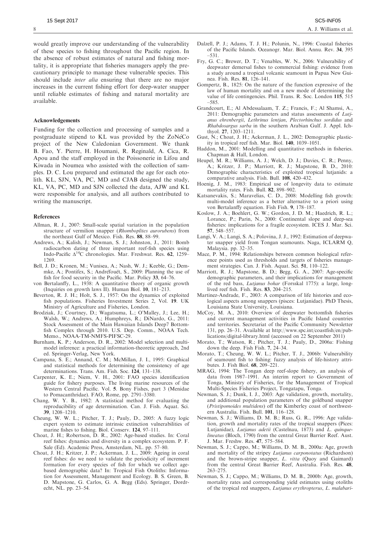would greatly improve our understanding of the vulnerability of these species to fishing throughout the Pacific region. In the absence of robust estimates of natural and fishing mortality, it is appropriate that fisheries managers apply the precautionary principle to manage these vulnerable species. This should include *inter alia* ensuring that there are no major increases in the current fishing effort for deep-water snapper until reliable estimates of fishing and natural mortality are available.

# Acknowledgements

Funding for the collection and processing of samples and a postgraduate stipend to KL was provided by the ZoNeCo project of the New Caledonian Government. We thank B. Fao, Y. Pierre, H. Houmani, R. Reginald, A. Cica, R. Apou and the staff employed in the Poissonerie in Lifou and Kiwada in Noumea who assisted with the collection of samples. D. C. Lou prepared and estimated the age for each otolith. KL, SJN, VA, PC, MD and CJAB designed the study, KL, VA, PC, MD and SJN collected the data, AJW and KL were responsible for analysis, and all authors contributed to writing the manuscript.

# References

- Allman, R. J., 2007: Small-scale spatial variation in the population structure of vermilion snapper (Rhomboplites aurorubens) from the northeast Gulf of Mexico. Fish. Res. 88, 88–99.
- Andrews, A.; Kalish, J.; Newman, S. J.; Johnston, J., 2011: Bomb radiocarbon dating of three important reef-fish species using Indo-Pacific Δ14C chronologies. Mar. Freshwat. Res. 62, 1259– 1269.
- Bell, J. D.; Kronen, M.; Vunisea, A.; Nash, W. J.; Keeble, G.; Demmke, A.; Pontifex, S.; Andréfouët, S., 2009: Planning the use of fish for food security in the Pacific. Mar. Policy 33, 64–76.
- von Bertalanffy, L., 1938: A quantitative theory of organic growth (Inquiries on growth laws II). Human Biol. 10, 181–213.
- Beverton, R. J. H.; Holt, S. J., 1957: On the dynamics of exploited fish populations. Fisheries Investment Series 2, Vol. 19. UK Ministry of Agriculture and Fisheries, London.
- Brodziak, J.; Courtney, D.; Wagatsuma, L.; O'Malley, J.; Lee, H.; Walsh, W.; Andrews, A.; Humphreys, R.; DiNardo, G., 2011: Stock Assessment of the Main Hawaiian Islands Deep7 Bottomfish Complex through 2010. U.S. Dep. Comm., NOAA Tech. Memo., NOAA-TM-NMFS-PIFSC-29.
- Burnham, K. P.; Anderson, D. R., 2002: Model selection and multimodel inference: a practical information-theoretic approach, 2nd ed. Springer-Verlag, New York.
- Campana, S. E.; Annand, C. M.; McMillan, J. I., 1995: Graphical and statistical methods for determining the consistency of age determinations. Trans. Am. Fish. Soc. 124, 131–138.
- Carpenter, K. E.; Niem, V. H., 2001: FAO species identification guide for fishery purposes. The living marine resources of the Western Central Pacific. Vol. 5. Bony Fishes, part 3 (Menidae to Pomacanthridae). FAO, Rome, pp. 2791–3380.
- Chang, W. Y. B., 1982: A statistical method for evaluating the reproducibility of age determination. Can. J. Fish. Aquat. Sci. 39, 1208–1210.
- Cheung, W. W. L.; Pitcher, T. J.; Pauly, D., 2005: A fuzzy logic expert system to estimate intrinsic extinction vulnerabilities of marine fishes to fishing. Biol. Conserv. 124, 97–111.
- Choat, J. H.; Robertson, D. R., 2002: Age-based studies. In: Coral reef fishes: dynamics and diversity in a complex ecosystem. P. F. Sale (Ed). Academic Press, Amsterdam, NL. pp. 57–80.
- Choat, J. H.; Kritzer, J. P.; Ackerman, J. L., 2009: Ageing in coral reef fishes: do we need to validate the periodicity of increment formation for every species of fish for which we collect agebased demographic data? In: Tropical Fish Otoliths: Information for Assessment, Management and Ecology. B. S. Green, B. D. Mapstone, G. Carlos, G. A. Begg (Eds). Springer, Dordrecht, NL. pp. 23–54.
- Dalzell, P. J.; Adams, T. J. H.; Polunin, N., 1996: Coastal fisheries of the Pacific Islands. Oceanogr. Mar. Biol. Annu. Rev. 34, 395 –531.
- Fry, G. C.; Brewer, D. T.; Venables, W. N., 2006: Vulnerability of deepwater demersal fishes to commercial fishing: evidence from a study around a tropical volcanic seamount in Papua New Guinea. Fish. Res. 81, 126–141.
- Gompertz, B., 1825: On the nature of the function expressive of the law of human mortality and on a new mode of determining the value of life contingencies. Phil. Trans. R. Soc. London 115, 515 –585.
- Grandcourt, E.; Al Abdessalaam, T. Z.; Francis, F.; Al Shamsi, A., 2011: Demographic parameters and status assessments of Lutjanus ehrenbergii, Lethrinus lentjan, Plectorhinchus sordidus and Rhabdosargus sarba in the southern Arabian Gulf. J. Appl. Ichthyol. 27, 1203–1211.
- Gust, N.; Choat, J. H.; Ackerman, J. L., 2002: Demographic plasticity in tropical reef fish. Mar. Biol. 140, 1039–1051.
- Haddon, M., 2001: Modelling and quantitative methods in fisheries. Chapman & Hall, London.
- Heupel, M. R.; Williams, A. J.; Welch, D. J.; Davies, C. R.; Penny, A.; Kritzer, J. P.; Marriott, R. J.; Mapstone, B. D., 2010: Demographic characteristics of exploited tropical lutjanids: a comparative analysis. Fish. Bull. 108, 420-432.
- Hoenig, J. M., 1983: Empirical use of longevity data to estimate mortality rates. Fish. Bull. 82, 898–902.
- Katsanevakis, S.; Maravelias, C. D., 2008: Modelling fish growth: multi-model inference as a better alternative to a priori using von Bertalanffy equation. Fish Fish. 9, 178–187.
- Koslow, J. A.; Boehlert, G. W.; Gordon, J. D. M.; Haedrich, R. L.; Lorance, P.; Parin, N., 2000: Continental slope and deep-sea fisheries: implications for a fragile ecosystem. ICES J. Mar. Sci. 57, 548–557.
- Langi, V. A.; Langi, S. A.; Polovina, J. J., 1992: Estimation of deepwater snapper yield from Tongan seamounts. Naga, ICLARM Q, Malaysia. pp. 32–35.
- Mace, P. M., 1994: Relationships between common biological reference points used as thresholds and targets of fisheries management strategies. Can. J. Fish. Aquat. Sci. 51, 110–122.
- Marriott, R. J.; Mapstone, B. D.; Begg, G. A., 2007: Age-specific demographic parameters, and their implications for management of the red bass, Lutjanus bohar (Forsskal 1775): a large, longlived reef fish. Fish. Res. 83, 204–215.
- Martinez-Andrade, F., 2003: A comparison of life histories and ecological aspects among snappers (pisces: Lutjanidae). PhD Thesis, Louisiana State University, Louisiana.
- McCoy, M. A., 2010: Overview of deepwater bottomfish fisheries and current management activities in Pacific Island countries and territories. Secretariat of the Pacific Community Newsletter 131, pp. 26–31. Available at http://www.spc.int/coastfish/en/publications/digital-library.html (accessed on 22 September 2011)
- Morato, T.; Watson, R.; Pitcher, T. J.; Pauly, D., 2006a: Fishing down the deep. Fish Fish. 7, 24–34.
- Morato, T.; Cheung, W. W. L.; Pitcher, T. J., 2006b: Vulnerability of seamount fish to fishing: fuzzy analysis of life-history attributes. J. Fish Biol. 68, 209–221.
- MRAG, 1994: The Tongan deep reef-slope fishery, an analysis of data from 1987–1991. An interim report to Government of Tonga, Ministry of Fisheries, for the Management of Tropical Multi-Species Fisheries Project, Tongatapu, Tonga.
- Newman, S. J.; Dunk, I. J., 2003: Age validation, growth, mortality, and additional population parameters of the goldband snapper (Pristipomoides multidens) off the Kimberley coast of northwestern Australia. Fish. Bull. 101, 116–128.
- Newman, S. J.; Williams, D. M. B.; Russ, G. R., 1996: Age validation, growth and mortality rates of the tropical snappers (Pices: Lutjanidae), Lutjanus adetii (Castelnau, 1873) and L. quinquelineatus (Bloch, 1790) from the central Great Barrier Reef. Aust. J. Mar. Freshw. Res. 47, 575–584.
- Newman, S. J.; Cappo, M.; Williams, D. M. B., 2000a: Age, growth and mortality of the stripey Lutjanus carponotatus (Richardson) and the brown-stripe snapper, L. vitta (Quoy and Gaimard) from the central Great Barrier Reef, Australia. Fish. Res. 48, 263–275.
- Newman, S. J.; Cappo, M.; Williams, D. M. B., 2000b: Age, growth, mortality rates and corresponding yield estimates using otoliths of the tropical red snappers, Lutjanus erythropterus, L. malabari-